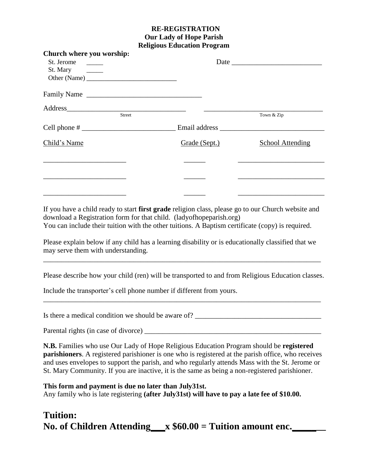## **RE-REGISTRATION Our Lady of Hope Parish Religious Education Program**

| Church where you worship:                                        |                                                                                                                                                                                                                                |                         |
|------------------------------------------------------------------|--------------------------------------------------------------------------------------------------------------------------------------------------------------------------------------------------------------------------------|-------------------------|
| St. Jerome                                                       |                                                                                                                                                                                                                                |                         |
| St. Mary<br>$\mathcal{L}=\mathcal{L}$ . The set of $\mathcal{L}$ |                                                                                                                                                                                                                                |                         |
|                                                                  |                                                                                                                                                                                                                                |                         |
| Family Name                                                      |                                                                                                                                                                                                                                |                         |
|                                                                  |                                                                                                                                                                                                                                |                         |
| <b>Street</b>                                                    |                                                                                                                                                                                                                                | Town & Zip              |
|                                                                  | Email address and the state of the state of the state of the state of the state of the state of the state of the state of the state of the state of the state of the state of the state of the state of the state of the state |                         |
| Child's Name                                                     | Grade (Sept.)                                                                                                                                                                                                                  | <b>School Attending</b> |
|                                                                  |                                                                                                                                                                                                                                |                         |
|                                                                  |                                                                                                                                                                                                                                |                         |
|                                                                  |                                                                                                                                                                                                                                |                         |
|                                                                  |                                                                                                                                                                                                                                |                         |

If you have a child ready to start **first grade** religion class, please go to our Church website and download a Registration form for that child. (ladyofhopeparish.org) You can include their tuition with the other tuitions. A Baptism certificate (copy) is required.

Please explain below if any child has a learning disability or is educationally classified that we may serve them with understanding.

\_\_\_\_\_\_\_\_\_\_\_\_\_\_\_\_\_\_\_\_\_\_\_\_\_\_\_\_\_\_\_\_\_\_\_\_\_\_\_\_\_\_\_\_\_\_\_\_\_\_\_\_\_\_\_\_\_\_\_\_\_\_\_\_\_\_\_\_\_\_\_\_\_\_\_\_\_

Please describe how your child (ren) will be transported to and from Religious Education classes.

\_\_\_\_\_\_\_\_\_\_\_\_\_\_\_\_\_\_\_\_\_\_\_\_\_\_\_\_\_\_\_\_\_\_\_\_\_\_\_\_\_\_\_\_\_\_\_\_\_\_\_\_\_\_\_\_\_\_\_\_\_\_\_\_\_\_\_\_\_\_\_\_\_\_\_\_\_

Include the transporter's cell phone number if different from yours.

Is there a medical condition we should be aware of?  $\frac{1}{\frac{1}{2} \cdot \frac{1}{2} \cdot \frac{1}{2} \cdot \frac{1}{2} \cdot \frac{1}{2} \cdot \frac{1}{2} \cdot \frac{1}{2} \cdot \frac{1}{2} \cdot \frac{1}{2} \cdot \frac{1}{2} \cdot \frac{1}{2} \cdot \frac{1}{2} \cdot \frac{1}{2} \cdot \frac{1}{2} \cdot \frac{1}{2} \cdot \frac{1}{2} \cdot \frac{1}{2} \cdot \frac{1}{2} \cdot \$ 

Parental rights (in case of divorce)

**N.B.** Families who use Our Lady of Hope Religious Education Program should be **registered parishioners**. A registered parishioner is one who is registered at the parish office, who receives and uses envelopes to support the parish, and who regularly attends Mass with the St. Jerome or St. Mary Community. If you are inactive, it is the same as being a non-registered parishioner.

**This form and payment is due no later than July31st.** Any family who is late registering **(after July31st) will have to pay a late fee of \$10.00.**

## **Tuition: No. of Children Attending\_\_\_x \$60.00 = Tuition amount enc.\_\_\_\_\_\_\_**